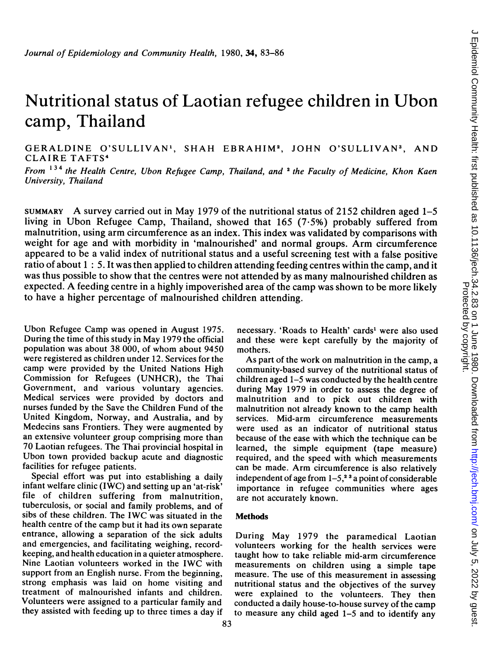# Nutritional status of Laotian refugee children in Ubon camp, Thailand

GERALDINE O'SULLIVAN', SHAH EBRAHIM2, JOHN O'SULLIVAN3, AND CLAIRE TAFTS4

From  $134$  the Health Centre, Ubon Refugee Camp, Thailand, and <sup>2</sup> the Faculty of Medicine, Khon Kaen University, Thailand

SUMMARY A survey carried out in May <sup>1979</sup> of the nutritional status of <sup>2152</sup> children aged 1-5 living in Ubon Refugee Camp, Thailand, showed that 165 (7.5%) probably suffered from malnutrition, using arm circumference as an index. This index was validated by comparisons with weight for age and with morbidity in 'malnourished' and normal groups. Arm circumference appeared to be a valid index of nutritional status and a useful screening test with a false positive ratio of about 1: 5. It was then applied to children attending feeding centres within the camp, and it was thus possible to show that the centres were not attended by as many malnourished children as expected. A feeding centre in <sup>a</sup> highly impoverished area of the camp was shown to be more likely to have a higher percentage of malnourished children attending.

Ubon Refugee Camp was opened in August 1975. During the time of this study in May 1979 the official population was about 38 000, of whom about 9450 were registered as children under 12. Services for the camp were provided by the United Nations High Commission for Refugees (UNHCR), the Thai Government, and various voluntary agencies. Medical services were provided by doctors and nurses funded by the Save the Children Fund of the United Kingdom, Norway, and Australia, and by Medecins sans Frontiers. They were augmented by an extensive volunteer group comprising more than 70 Laotian refugees. The Thai provincial hospital in Ubon town provided backup acute and diagnostic facilities for refugee patients.

Special effort was put into establishing a daily infant welfare clinic ( $I\hat{W}C$ ) and setting up an 'at-risk' file of children suffering from malnutrition, tuberculosis, or social and family problems, and of sibs of these children. The IWC was situated in the health centre of the camp but it had its own separate entrance, allowing a separation of the sick adults and emergencies, and facilitating weighing, recordkeeping, and health education in a quieter atmosphere. Nine Laotian volunteers worked in the IWC with support from an English nurse. From the beginning, strong emphasis was laid on home visiting and treatment of malnourished infants and children. Volunteers were assigned to a particular family and they assisted with feeding up to three times a day if

necessary. 'Roads to Health' cards' were also used and these were kept carefully by the majority of mothers.

As part of the work on malnutrition in the camp, a community-based survey of the nutritional status of children aged 1-5 was conducted by the health centre during May 1979 in order to assess the degree of malnutrition and to pick out children with malnutrition not already known to the camp health services. Mid-arm circumference measurements were used as an indicator of nutritional status because of the ease with which the technique can be learned, the simple equipment (tape measure) required, and the speed with which measurements can be made. Arm circumference is also relatively independent of age from  $1-5$ ,<sup>23</sup> a point of considerable importance in refugee communities where ages are not accurately known.

## Methods

During May 1979 the paramedical Laotian volunteers working for the health services were taught how to take reliable mid-arm circumference measurements on children using a simple tape measure. The use of this measurement in assessing nutritional status and the objectives of the survey were explained to the volunteers. They then conducted a daily house-to-house survey of the camp to measure any child aged 1-5 and to identify any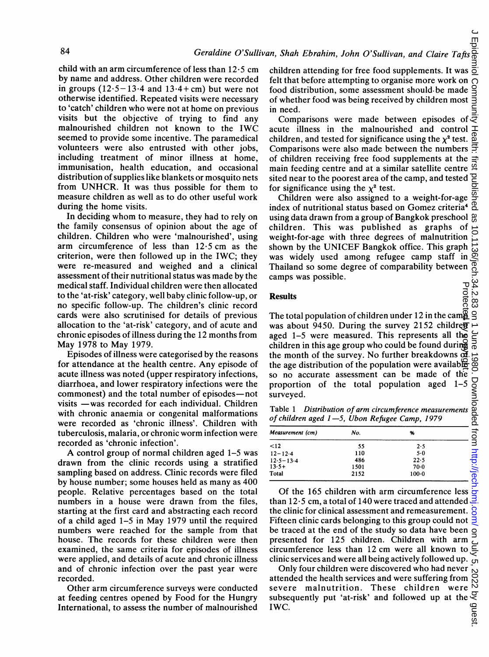child with an arm circumference of less than 12-5 cm by name and address. Other children were recorded in groups  $(12.5 - 13.4$  and  $13.4 + cm$ ) but were not otherwise identified. Repeated visits were necessary to 'catch' children who were not at home on previous visits but the objective of trying to find any malnourished children not known to the IWC seemed to provide some incentive. The paramedical volunteers were also entrusted with other jobs, including treatment of minor illness at home, immunisation, health education, and occasional distribution of supplies like blankets or mosquito nets from UNHCR. It was thus possible for them to measure children as well as to do other useful work during the home visits.

In deciding whom to measure, they had to rely on the family consensus of opinion about the age of children. Children who were 'malnourished', using arm circumference of less than  $12.5$  cm as the criterion, were then followed up in the IWC; they were re-measured and weighed and a clinical assessment of their nutritional status was made by the medical staff. Individual children were then allocated to the 'at-risk' category, well baby clinic follow-up, or no specific follow-up. The children's clinic record cards were also scrutinised for details of previous allocation to the 'at-risk' category, and of acute and chronic episodes of illness during the 12 months from May 1978 to May 1979.

Episodes of illness were categorised by the reasons for attendance at the health centre. Any episode of acute illness was noted (upper respiratory infections, diarrhoea, and lower respiratory infections were the commonest) and the total number of episodes-not visits -was recorded for each individual. Children with chronic anaemia or congenital malformations were recorded as 'chronic illness'. Children with tuberculosis, malaria, or chronic worm infection were recorded as 'chronic infection'.

A control group of normal children aged 1-5 was drawn from the clinic records using a stratified sampling based on address. Clinic records were filed by house number; some houses held as many as 400 people. Relative percentages based on the total numbers in a house were drawn from the files, starting at the first card and abstracting each record of a child aged 1-5 in May 1979 until the required numbers were reached for the sample from that house. The records for these children were then examined, the same criteria for episodes of illness were applied, and details of acute and chronic illness and of chronic infection over the past year were recorded.

Other arm circumference surveys were conducted at feeding centres opened by Food for the Hungry International, to assess the number of malnourished children attending for free food supplements. It was ㅎ felt that before attempting to organise more work on Comm food distribution, some assessment should be made of whether food was being received by children most in need.

Comparisons were made between episodes of  $\overline{z}$ acute illness in the malnourished and control children, and tested for significance using the  $\chi^2$  test. Comparisons were also made between the numbers ₹ of children receiving free food supplements at the main feeding centre and at a similar satellite centre  $\frac{\alpha}{2}$ 으 sited near to the poorest area of the camp, and tested for significance using the  $\chi^2$  test.

J Epidemiol Community Health: first published as 10.1136/jech.34.2.83 on 1 June 1980. Downloaded from <http://jech.bmj.com/> on July 5, 2022 by guest. Children were also assigned to a weight-for-age index of nutritional status based on Gomez criteria4 using data drawn from a group of Bangkok preschool g children. This was published as graphs of weight-for-age with three degrees of malnutrition shown by the UNICEF Bangkok office. This graph was widely used among refugee camp staff in Thailand so some degree of comparability between camps was possible. Protect

订  $\frac{8}{3}$ 

### **Results**

Protected by copyright. The total population of children under 12 in the cam $\frac{3}{2}$   $\frac{3}{2}$ was about 9450. During the survey 2152 children  $\rightarrow$ June aged 1-5 were measured. This represents all the children in this age group who could be found during the month of the survey. No further breakdowns  $\mathbf{d}$ . the age distribution of the population were available so no accurate assessment can be made of the proportion of the total population aged 1-5 surveyed.

Table <sup>1</sup> Distribution of arm circumference measurements of children aged 1-5, Ubon Refugee Camp, 1979

| proportion of the total population aged $1-5$ $\frac{1}{5}$<br>surveyed.                                      |      |           |          |  |  |  |  |  |
|---------------------------------------------------------------------------------------------------------------|------|-----------|----------|--|--|--|--|--|
| Table 1 Distribution of arm circumference measurements<br>ğ,<br>of children aged 1-5, Ubon Refugee Camp, 1979 |      |           |          |  |  |  |  |  |
| Measurement (cm)                                                                                              | No.  | %         | ਡੋਂ      |  |  |  |  |  |
| < 12                                                                                                          | 55   | 2.5       | ╕        |  |  |  |  |  |
| $12 - 12.4$                                                                                                   | 110  | $5-0$     |          |  |  |  |  |  |
| $12.5 - 13.4$                                                                                                 | 486  | 22.5      |          |  |  |  |  |  |
| $13.5+$                                                                                                       | 1501 | $70-0$    |          |  |  |  |  |  |
| Total                                                                                                         | 2152 | $100 - 0$ | ntp://je |  |  |  |  |  |

Of the 165 children with arm circumference less 듕 than  $12.5$  cm, a total of 140 were traced and attended 3. the clinic for clinical assessment and remeasurement. Fifteen clinic cards belonging to this group could not be traced at the end of the study so data have been presented for 125 children. Children with arm circumference less than 12 cm were all known to clinic services and were all being actively followed up.  $\epsilon$ 

Only four children were discovered who had never attended the health services and were suffering from severe malnutrition. These children were subsequently put 'at-risk' and followed up at the  $\frac{60}{60}$ <br>IWC.<br>g IWC.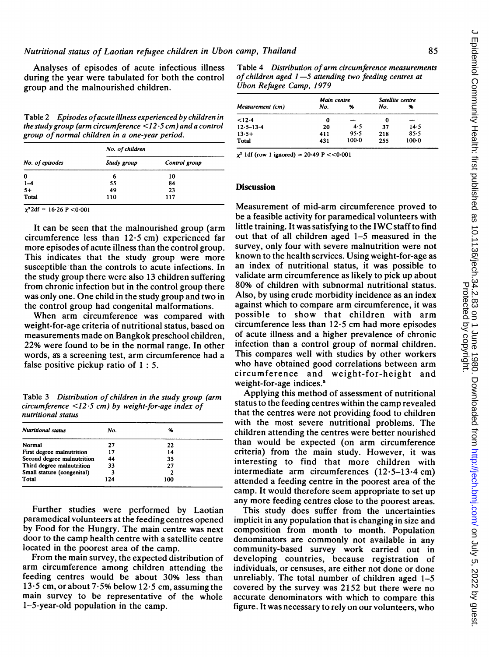Analyses of episodes of acute infectious illness during the year were tabulated for both the control group and the malnourished children.

Table 2 Episodes ofacute illness experienced by children in the study group (arm circumference  $\leq l$ 2.5 cm) and a control group of normal children in <sup>a</sup> one-year period.

| No. of episodes        | No. of children |               |  |
|------------------------|-----------------|---------------|--|
|                        | Study group     | Control group |  |
| 0                      | 6               | 10            |  |
|                        | 55              | 84            |  |
|                        | 49              | 23            |  |
| $1-4$<br>$5+$<br>Total | 110             | 117           |  |

 $\chi^2 2df = 16.26 \overline{P} < 0.001$ 

It can be seen that the malnourished group (arm circumference less than  $12.5$  cm) experienced far more episodes of acute illness than the control group. This indicates that the study group were more susceptible than the controls to acute infections. In the study group there were also 13 children suffering from chronic infection but in the control group there was only one. One child in the study group and two in the control group had congenital malformations.

When arm circumference was compared with weight-for-age criteria of nutritional status, based on measurements made on Bangkok preschool children, 22% were found to be in the normal range. In other words, as a screening test, arm circumference had a false positive pickup ratio of 1: 5.

Table 3 Distribution of children in the study group (arm circumference  $\langle 12.5 \text{ cm} \rangle$  by weight-for-age index of nutritional status

| <b>Nutritional status</b>  | No. | %   |  |
|----------------------------|-----|-----|--|
| Normal                     | 27  | 22  |  |
| First degree malnutrition  | 17  | 14  |  |
| Second degree malnutrition | 44  | 35  |  |
| Third degree malnutrition  | 33  | 27  |  |
| Small stature (congenital) | 3   |     |  |
| Total                      | 124 | 100 |  |

Further studies were performed by Laotian paramedical volunteers at the feeding centres opened by Food for the Hungry. The main centre was next door to the camp health centre with a satellite centre located in the poorest area of the camp.

From the main survey, the expected distribution of arm circumference among children attending the feeding centres would be about 30% less than 13.5 cm, or about 7.5% below 12.5 cm, assuming the main survey to be representative of the whole 1-5-year-old population in the camp.

Table 4 Distribution of arm circumference measurements of children aged  $1-5$  attending two feeding centres at Ubon Refugee Camp, 1979

| Measurement (cm) | Main centre |         | Satellite centre |          |  |
|------------------|-------------|---------|------------------|----------|--|
|                  | No.         | %       | No.              | %        |  |
| < 12.4           | 0           |         | 0                |          |  |
| $12.5 - 13.4$    | 20          | 4.5     | 37               | 14.5     |  |
| $13.5+$          | 411         | 95.5    | 218              | $85 - 5$ |  |
| Total            | 431         | $100-0$ | 255              | $100-0$  |  |

 $\chi^2$  1df (row 1 ignored) = 20.49 P <<0.001

## **Discussion**

Measurement of mid-arm circumference proved to be a feasible activity for paramedical volunteers with little training. It was satisfying to the IWC staff to find out that of all children aged 1-5 measured in the survey, only four with severe malnutrition were not known to the health services. Using weight-for-age as an index of nutritional status, it was possible to validate arm circumference as likely to pick up about 80% of children with subnormal nutritional status. Also, by using crude morbidity incidence as an index against which to compare arm circumference, it was possible to show that children with arm circumference less than 12-5 cm had more episodes of acute illness and a higher prevalence of chronic infection than a control group of normal children. This compares well with studies by other workers who have obtained good correlations between arm circumference and weight-for-height and weight-for-age indices.<sup>5</sup>

Applying this method of assessment of nutritional status to the feeding centres within the camp revealed that the centres were not providing food to children with the most severe nutritional problems. The children attending the centres were better nourished than would be expected (on arm circumference criteria) from the main study. However, it was interesting to find that more children with intermediate arm circumferences (12-5-13.4 cm) attended a feeding centre in the poorest area of the camp. It would therefore seem appropriate to set up any more feeding centres close to the poorest areas.

This study does suffer from the uncertainties implicit in any population that is changing in size and composition from month to month. Population denominators are commonly not available in any community-based survey work carried out in developing countries, because registration of individuals, or censuses, are either not done or done unreliably. The total number of children aged 1-5 covered by the survey was 2152 but there were no accurate denominators with which to compare this figure. It was necessary to rely on our volunteers, who

 $\subset$